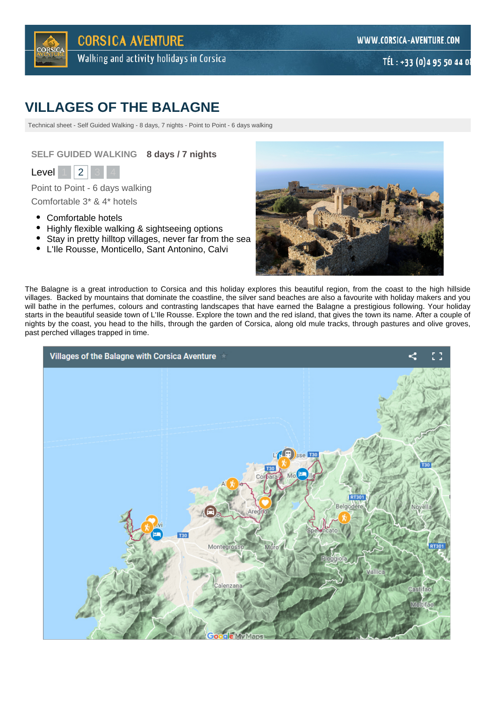

# **VILLAGES OF THE BALAGNE**

Technical sheet - Self Guided Walking - 8 days, 7 nights - Point to Point - 6 days walking

**SELF GUIDED WALKING 8 days / 7 nights**



Point to Point - 6 days walking Comfortable 3\* & 4\* hotels

- Comfortable hotels
- $\bullet$ Highly flexible walking & sightseeing options
- Stay in pretty hilltop villages, never far from the sea  $\bullet$
- L'Ile Rousse, Monticello, Sant Antonino, Calvi



The Balagne is a great introduction to Corsica and this holiday explores this beautiful region, from the coast to the high hillside villages. Backed by mountains that dominate the coastline, the silver sand beaches are also a favourite with holiday makers and you will bathe in the perfumes, colours and contrasting landscapes that have earned the Balagne a prestigious following. Your holiday starts in the beautiful seaside town of L'Ile Rousse. Explore the town and the red island, that gives the town its name. After a couple of nights by the coast, you head to the hills, through the garden of Corsica, along old mule tracks, through pastures and olive groves, past perched villages trapped in time.

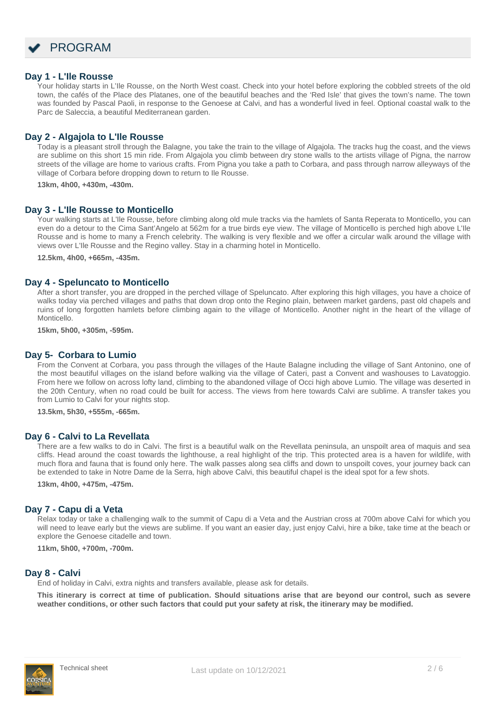

#### **Day 1 - L'Ile Rousse**

Your holiday starts in L'Ile Rousse, on the North West coast. Check into your hotel before exploring the cobbled streets of the old town, the cafés of the Place des Platanes, one of the beautiful beaches and the 'Red Isle' that gives the town's name. The town was founded by Pascal Paoli, in response to the Genoese at Calvi, and has a wonderful lived in feel. Optional coastal walk to the Parc de Saleccia, a beautiful Mediterranean garden.

### **Day 2 - Algajola to L'Ile Rousse**

Today is a pleasant stroll through the Balagne, you take the train to the village of Algajola. The tracks hug the coast, and the views are sublime on this short 15 min ride. From Algajola you climb between dry stone walls to the artists village of Pigna, the narrow streets of the village are home to various crafts. From Pigna you take a path to Corbara, and pass through narrow alleyways of the village of Corbara before dropping down to return to Ile Rousse.

**13km, 4h00, +430m, -430m.**

#### **Day 3 - L'Ile Rousse to Monticello**

Your walking starts at L'Ile Rousse, before climbing along old mule tracks via the hamlets of Santa Reperata to Monticello, you can even do a detour to the Cima Sant'Angelo at 562m for a true birds eye view. The village of Monticello is perched high above L'Ile Rousse and is home to many a French celebrity. The walking is very flexible and we offer a circular walk around the village with views over L'Ile Rousse and the Regino valley. Stay in a charming hotel in Monticello.

**12.5km, 4h00, +665m, -435m.**

#### **Day 4 - Speluncato to Monticello**

After a short transfer, you are dropped in the perched village of Speluncato. After exploring this high villages, you have a choice of walks today via perched villages and paths that down drop onto the Regino plain, between market gardens, past old chapels and ruins of long forgotten hamlets before climbing again to the village of Monticello. Another night in the heart of the village of Monticello.

**15km, 5h00, +305m, -595m.**

### **Day 5- Corbara to Lumio**

From the Convent at Corbara, you pass through the villages of the Haute Balagne including the village of Sant Antonino, one of the most beautiful villages on the island before walking via the village of Cateri, past a Convent and washouses to Lavatoggio. From here we follow on across lofty land, climbing to the abandoned village of Occi high above Lumio. The village was deserted in the 20th Century, when no road could be built for access. The views from here towards Calvi are sublime. A transfer takes you from Lumio to Calvi for your nights stop.

**13.5km, 5h30, +555m, -665m.**

#### **Day 6 - Calvi to La Revellata**

There are a few walks to do in Calvi. The first is a beautiful walk on the Revellata peninsula, an unspoilt area of maquis and sea cliffs. Head around the coast towards the lighthouse, a real highlight of the trip. This protected area is a haven for wildlife, with much flora and fauna that is found only here. The walk passes along sea cliffs and down to unspoilt coves, your journey back can be extended to take in Notre Dame de la Serra, high above Calvi, this beautiful chapel is the ideal spot for a few shots.

**13km, 4h00, +475m, -475m.**

#### **Day 7 - Capu di a Veta**

Relax today or take a challenging walk to the summit of Capu di a Veta and the Austrian cross at 700m above Calvi for which you will need to leave early but the views are sublime. If you want an easier day, just enjoy Calvi, hire a bike, take time at the beach or explore the Genoese citadelle and town.

**11km, 5h00, +700m, -700m.**

#### **Day 8 - Calvi**

End of holiday in Calvi, extra nights and transfers available, please ask for details.

**This itinerary is correct at time of publication. Should situations arise that are beyond our control, such as severe weather conditions, or other such factors that could put your safety at risk, the itinerary may be modified.**

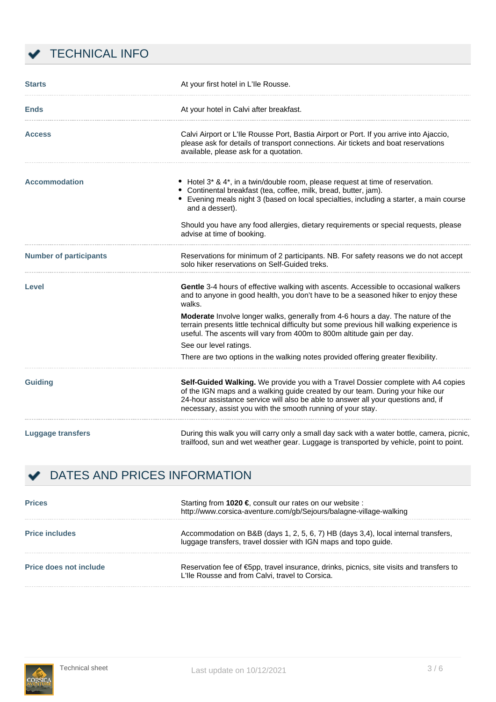

| <b>Starts</b>                 | At your first hotel in L'Ile Rousse.                                                                                                                                                                                                                                                                                   |
|-------------------------------|------------------------------------------------------------------------------------------------------------------------------------------------------------------------------------------------------------------------------------------------------------------------------------------------------------------------|
| <b>Ends</b>                   | At your hotel in Calvi after breakfast.                                                                                                                                                                                                                                                                                |
| <b>Access</b>                 | Calvi Airport or L'Ile Rousse Port, Bastia Airport or Port. If you arrive into Ajaccio,<br>please ask for details of transport connections. Air tickets and boat reservations<br>available, please ask for a quotation.                                                                                                |
| <b>Accommodation</b>          | Hotel 3* & 4*, in a twin/double room, please request at time of reservation.<br>Continental breakfast (tea, coffee, milk, bread, butter, jam).<br>Evening meals night 3 (based on local specialties, including a starter, a main course<br>and a dessert).                                                             |
|                               | Should you have any food allergies, dietary requirements or special requests, please<br>advise at time of booking.                                                                                                                                                                                                     |
| <b>Number of participants</b> | Reservations for minimum of 2 participants. NB. For safety reasons we do not accept<br>solo hiker reservations on Self-Guided treks.                                                                                                                                                                                   |
| <b>Level</b>                  | Gentle 3-4 hours of effective walking with ascents. Accessible to occasional walkers<br>and to anyone in good health, you don't have to be a seasoned hiker to enjoy these<br>walks.                                                                                                                                   |
|                               | Moderate Involve longer walks, generally from 4-6 hours a day. The nature of the<br>terrain presents little technical difficulty but some previous hill walking experience is<br>useful. The ascents will vary from 400m to 800m altitude gain per day.                                                                |
|                               | See our level ratings.                                                                                                                                                                                                                                                                                                 |
|                               | There are two options in the walking notes provided offering greater flexibility.                                                                                                                                                                                                                                      |
| <b>Guiding</b>                | Self-Guided Walking. We provide you with a Travel Dossier complete with A4 copies<br>of the IGN maps and a walking guide created by our team. During your hike our<br>24-hour assistance service will also be able to answer all your questions and, if<br>necessary, assist you with the smooth running of your stay. |
| <b>Luggage transfers</b>      | During this walk you will carry only a small day sack with a water bottle, camera, picnic,<br>trailfood, sun and wet weather gear. Luggage is transported by vehicle, point to point.                                                                                                                                  |

# DATES AND PRICES INFORMATION

| <b>Prices</b>                 | Starting from 1020 $\epsilon$ consult our rates on our website :<br>http://www.corsica-aventure.com/gb/Sejours/balagne-village-walking                |  |  |  |  |  |  |
|-------------------------------|-------------------------------------------------------------------------------------------------------------------------------------------------------|--|--|--|--|--|--|
| <b>Price includes</b>         | Accommodation on B&B (days 1, 2, 5, 6, 7) HB (days 3,4), local internal transfers,<br>luggage transfers, travel dossier with IGN maps and topo guide. |  |  |  |  |  |  |
| <b>Price does not include</b> | Reservation fee of $\epsilon$ 5pp, travel insurance, drinks, picnics, site visits and transfers to<br>L'Ile Rousse and from Calvi, travel to Corsica. |  |  |  |  |  |  |

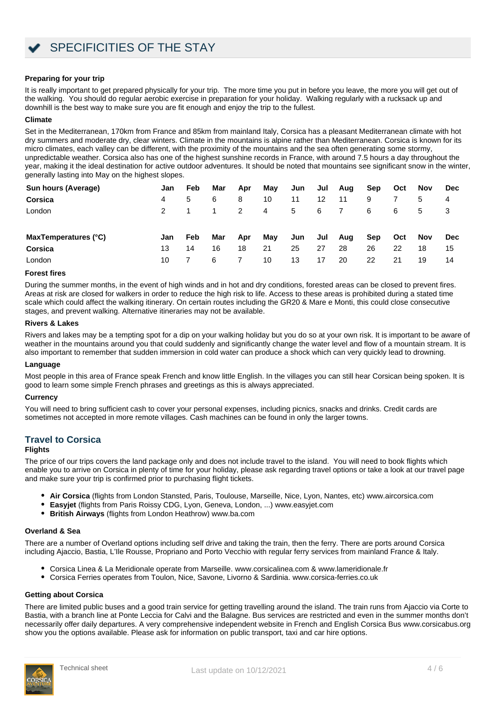#### **Preparing for your trip**

It is really important to get prepared physically for your trip. The more time you put in before you leave, the more you will get out of the walking. You should do regular aerobic exercise in preparation for your holiday. Walking regularly with a rucksack up and downhill is the best way to make sure you are fit enough and enjoy the trip to the fullest.

#### **Climate**

Set in the Mediterranean, 170km from France and 85km from mainland Italy, Corsica has a pleasant Mediterranean climate with hot dry summers and moderate dry, clear winters. Climate in the mountains is alpine rather than Mediterranean. Corsica is known for its micro climates, each valley can be different, with the proximity of the mountains and the sea often generating some stormy, unpredictable weather. Corsica also has one of the highest sunshine records in France, with around 7.5 hours a day throughout the year, making it the ideal destination for active outdoor adventures. It should be noted that mountains see significant snow in the winter, generally lasting into May on the highest slopes.

| Sun hours (Average)  | Jan           | Feb | Mar | Apr | Mav | Jun | Jul | Aug | Sep        | Oct | <b>Nov</b> | Dec        |
|----------------------|---------------|-----|-----|-----|-----|-----|-----|-----|------------|-----|------------|------------|
| Corsica              | 4             | 5   | 6   | 8   | 10  | 11  | 12  | 11  | 9          |     | 5          | 4          |
| London               | $\mathcal{P}$ |     |     | 2   | 4   | 5   | 6   | 7   | 6          | 6   | 5          | 3          |
| MaxTemperatures (°C) | Jan           | Feb | Mar | Apr | May | Jun | Jul | Aug | <b>Sep</b> | Oct | Nov        | <b>Dec</b> |
| Corsica              | 13            | 14  | 16  | 18  | 21  | 25  | 27  | 28  | 26         | 22  | 18         | 15         |
| London               | 10            |     | 6   |     | 10  | 13  | 17  | 20  | 22         | 21  | 19         | 14         |

#### **Forest fires**

During the summer months, in the event of high winds and in hot and dry conditions, forested areas can be closed to prevent fires. Areas at risk are closed for walkers in order to reduce the high risk to life. Access to these areas is prohibited during a stated time scale which could affect the walking itinerary. On certain routes including the GR20 & Mare e Monti, this could close consecutive stages, and prevent walking. Alternative itineraries may not be available.

#### **Rivers & Lakes**

Rivers and lakes may be a tempting spot for a dip on your walking holiday but you do so at your own risk. It is important to be aware of weather in the mountains around you that could suddenly and significantly change the water level and flow of a mountain stream. It is also important to remember that sudden immersion in cold water can produce a shock which can very quickly lead to drowning.

#### **Language**

Most people in this area of France speak French and know little English. In the villages you can still hear Corsican being spoken. It is good to learn some simple French phrases and greetings as this is always appreciated.

#### **Currency**

You will need to bring sufficient cash to cover your personal expenses, including picnics, snacks and drinks. Credit cards are sometimes not accepted in more remote villages. Cash machines can be found in only the larger towns.

#### **Travel to Corsica**

#### **Flights**

The price of our trips covers the land package only and does not include travel to the island. You will need to book flights which enable you to arrive on Corsica in plenty of time for your holiday, please ask regarding travel options or take a look at our travel page and make sure your trip is confirmed prior to purchasing flight tickets.

- **Air Corsica** (flights from London Stansted, Paris, Toulouse, Marseille, Nice, Lyon, Nantes, etc) [www.aircorsica.com](https://www.aircorsica.com/flights/)
- **Easyjet** (flights from Paris Roissy CDG, Lyon, Geneva, London, ...) [www.easyjet.com](http://www.easyjet.com)
- **British Airways** (flights from London Heathrow) [www.ba.com](http://www.ba.com)

#### **Overland & Sea**

There are a number of Overland options including self drive and taking the train, then the ferry. There are ports around Corsica including Ajaccio, Bastia, L'Ile Rousse, Propriano and Porto Vecchio with regular ferry services from mainland France & Italy.

- Corsica Linea & La Meridionale operate from Marseille. [www.corsicalinea.com](https://www.corsicalinea.com/eng) & [www.lameridionale.fr](https://www.lameridionale.fr/)
- Corsica Ferries operates from Toulon, Nice, Savone, Livorno & Sardinia. [www.corsica-ferries.co.uk](https://www.corsica-ferries.co.uk/)

#### **Getting about Corsica**

There are limited public buses and a good train service for getting travelling around the island. The train runs from Ajaccio via Corte to Bastia, with a branch line at Ponte Leccia for Calvi and the Balagne. Bus services are restricted and even in the summer months don't necessarily offer daily departures. A very comprehensive independent website in French and English Corsica Bus [www.corsicabus.org](https://www.corsicabus.org/index.html) show you the options available. Please ask for information on public transport, taxi and car hire options.

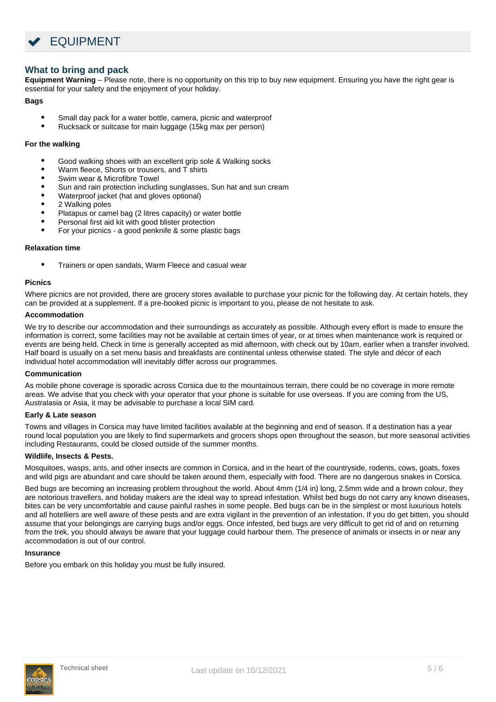

# **What to bring and pack**

**Equipment Warning** – Please note, there is no opportunity on this trip to buy new equipment. Ensuring you have the right gear is essential for your safety and the enjoyment of your holiday.

#### **Bags**

- Small day pack for a water bottle, camera, picnic and waterproof
- Rucksack or suitcase for main luggage (15kg max per person)

#### **For the walking**

- Good walking shoes with an excellent grip sole & Walking socks
- Warm fleece, Shorts or trousers, and T shirts
- Swim wear & Microfibre Towel
- Sun and rain protection including sunglasses, Sun hat and sun cream
- Waterproof jacket (hat and gloves optional)
- 2 Walking poles
- Platapus or camel bag (2 litres capacity) or water bottle
- Personal first aid kit with good blister protection
- For your picnics a good penknife & some plastic bags

#### **Relaxation time**

Trainers or open sandals, Warm Fleece and casual wear

#### **Picnics**

Where picnics are not provided, there are grocery stores available to purchase your picnic for the following day. At certain hotels, they can be provided at a supplement. If a pre-booked picnic is important to you, please de not hesitate to ask.

#### **Accommodation**

We try to describe our accommodation and their surroundings as accurately as possible. Although every effort is made to ensure the information is correct, some facilities may not be available at certain times of year, or at times when maintenance work is required or events are being held. Check in time is generally accepted as mid afternoon, with check out by 10am, earlier when a transfer involved. Half board is usually on a set menu basis and breakfasts are continental unless otherwise stated. The style and décor of each individual hotel accommodation will inevitably differ across our programmes.

#### **Communication**

As mobile phone coverage is sporadic across Corsica due to the mountainous terrain, there could be no coverage in more remote areas. We advise that you check with your operator that your phone is suitable for use overseas. If you are coming from the US, Australasia or Asia, it may be advisable to purchase a local SIM card.

#### **Early & Late season**

Towns and villages in Corsica may have limited facilities available at the beginning and end of season. If a destination has a year round local population you are likely to find supermarkets and grocers shops open throughout the season, but more seasonal activities including Restaurants, could be closed outside of the summer months.

#### **Wildlife, Insects & Pests.**

Mosquitoes, wasps, ants, and other insects are common in Corsica, and in the heart of the countryside, rodents, cows, goats, foxes and wild pigs are abundant and care should be taken around them, especially with food. There are no dangerous snakes in Corsica.

Bed bugs are becoming an increasing problem throughout the world. About 4mm (1/4 in) long, 2.5mm wide and a brown colour, they are notorious travellers, and holiday makers are the ideal way to spread infestation. Whilst bed bugs do not carry any known diseases, bites can be very uncomfortable and cause painful rashes in some people. Bed bugs can be in the simplest or most luxurious hotels and all hotelliers are well aware of these pests and are extra vigilant in the prevention of an infestation. If you do get bitten, you should assume that your belongings are carrying bugs and/or eggs. Once infested, bed bugs are very difficult to get rid of and on returning from the trek, you should always be aware that your luggage could harbour them. The presence of animals or insects in or near any accommodation is out of our control.

#### **Insurance**

Before you embark on this holiday you must be fully insured.